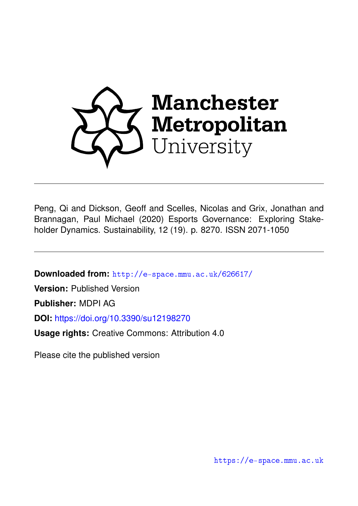

Peng, Qi and Dickson, Geoff and Scelles, Nicolas and Grix, Jonathan and Brannagan, Paul Michael (2020) Esports Governance: Exploring Stakeholder Dynamics. Sustainability, 12 (19). p. 8270. ISSN 2071-1050

**Downloaded from:** <http://e-space.mmu.ac.uk/626617/>

**Version:** Published Version

**Publisher:** MDPI AG

**DOI:** <https://doi.org/10.3390/su12198270>

**Usage rights:** Creative Commons: Attribution 4.0

Please cite the published version

<https://e-space.mmu.ac.uk>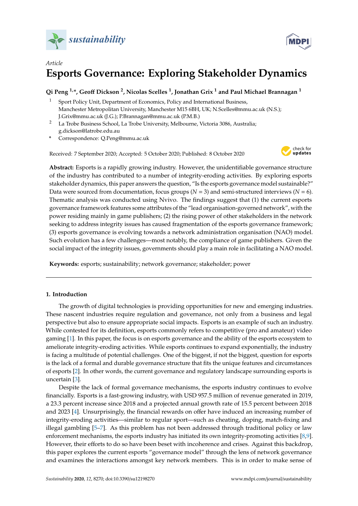



# *Article* **Esports Governance: Exploring Stakeholder Dynamics**

# **Qi Peng 1,\*, Geo**ff **Dickson <sup>2</sup> , Nicolas Scelles <sup>1</sup> , Jonathan Grix <sup>1</sup> and Paul Michael Brannagan <sup>1</sup>**

- <sup>1</sup> Sport Policy Unit, Department of Economics, Policy and International Business, Manchester Metropolitan University, Manchester M15 6BH, UK; N.Scelles@mmu.ac.uk (N.S.); J.Grix@mmu.ac.uk (J.G.); P.Brannagan@mmu.ac.uk (P.M.B.)
- <sup>2</sup> La Trobe Business School, La Trobe University, Melbourne, Victoria 3086, Australia; g.dickson@latrobe.edu.au
- **\*** Correspondence: Q.Peng@mmu.ac.uk

Received: 7 September 2020; Accepted: 5 October 2020; Published: 8 October 2020



**Abstract:** Esports is a rapidly growing industry. However, the unidentifiable governance structure of the industry has contributed to a number of integrity-eroding activities. By exploring esports stakeholder dynamics, this paper answers the question, "Is the esports governance model sustainable?" Data were sourced from documentation, focus groups  $(N = 3)$  and semi-structured interviews  $(N = 6)$ . Thematic analysis was conducted using Nvivo. The findings suggest that (1) the current esports governance framework features some attributes of the "lead organisation-governed network", with the power residing mainly in game publishers; (2) the rising power of other stakeholders in the network seeking to address integrity issues has caused fragmentation of the esports governance framework; (3) esports governance is evolving towards a network administration organisation (NAO) model. Such evolution has a few challenges—most notably, the compliance of game publishers. Given the social impact of the integrity issues, governments should play a main role in facilitating a NAO model.

**Keywords:** esports; sustainability; network governance; stakeholder; power

### **1. Introduction**

The growth of digital technologies is providing opportunities for new and emerging industries. These nascent industries require regulation and governance, not only from a business and legal perspective but also to ensure appropriate social impacts. Esports is an example of such an industry. While contested for its definition, esports commonly refers to competitive (pro and amateur) video gaming [\[1\]](#page-14-0). In this paper, the focus is on esports governance and the ability of the esports ecosystem to ameliorate integrity-eroding activities. While esports continues to expand exponentially, the industry is facing a multitude of potential challenges. One of the biggest, if not the biggest, question for esports is the lack of a formal and durable governance structure that fits the unique features and circumstances of esports [\[2\]](#page-14-1). In other words, the current governance and regulatory landscape surrounding esports is uncertain [\[3\]](#page-14-2).

Despite the lack of formal governance mechanisms, the esports industry continues to evolve financially. Esports is a fast-growing industry, with USD 957.5 million of revenue generated in 2019, a 23.3 percent increase since 2018 and a projected annual growth rate of 15.5 percent between 2018 and 2023 [\[4\]](#page-14-3). Unsurprisingly, the financial rewards on offer have induced an increasing number of integrity-eroding activities—similar to regular sport—such as cheating, doping, match-fixing and illegal gambling [\[5](#page-14-4)[–7\]](#page-14-5). As this problem has not been addressed through traditional policy or law enforcement mechanisms, the esports industry has initiated its own integrity-promoting activities [\[8](#page-14-6)[,9\]](#page-14-7). However, their efforts to do so have been beset with incoherence and crises. Against this backdrop, this paper explores the current esports "governance model" through the lens of network governance and examines the interactions amongst key network members. This is in order to make sense of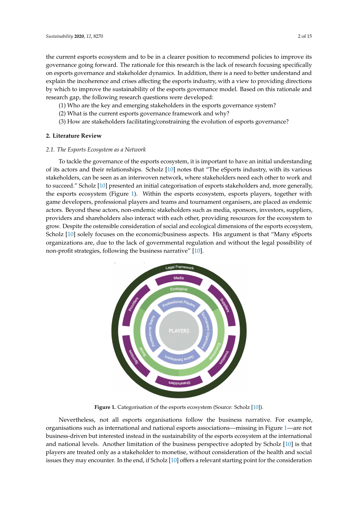the current esports ecosystem and to be in a clearer position to recommend policies to improve its governance going forward. The rationale for this research is the lack of research focusing specifically on esports governance and stakeholder dynamics. In addition, there is a need to better understand and explain the incoherence and crises affecting the esports industry, with a view to providing directions by which to improve the sustainability of the esports governance model. Based on this rationale and  $\frac{1}{2}$  research gap, the following research questions were developed:

- $(1)$  Who are the key and emerging stakeholders in the esports governance system? provided the key and enterging stakeholders in the esports governance system.
- $(2)$  What is the current esports governance framework and why?
- (3) How are stakeholders facilitating/constraining the evolution of esports governance?

#### **2. Literature Review**  $2$ ) where  $\frac{1}{2}$  where  $\frac{1}{2}$  is the current espanshop and why?  $\frac{3}{2}$  How are stakeholders facilitating the evolution of evolution of evolution of evolution of espansion of evolution of  $\frac{1}{2}$

# **2.1. The Esports Ecosystem as a Network**

To tackle the governance of the esports ecosystem, it is important to have an initial understanding of its actors and their relationships. Scholz [\[10\]](#page-14-8) notes that "The eSports industry, with its various stakeholders, can be seen as an interwoven network, where stakeholders need each other to work and to succeed." Scholz [\[10\]](#page-14-8) presented an initial categorisation of esports stakeholders and, more generally, the esports ecosystem (Figure 1). Within the esports ecosystem, esports players, [to](#page-2-0)gether with game developers, professional players and teams and tournament organisers, are placed as endemic actors. Beyond these actors, non-endemic stakeholders such as media, sponsors, investors, suppliers, providers and shareholders also interact with each other, providing resources for the ecosystem to grow. Despite the ostensible consideration of social and ecological dimensions of the esports ecosystem, Scholz [\[10\]](#page-14-8) solely focuses on the economic/business aspects. His argument is that "Many eSports organizations are, due to the lack of governmental regulation and without the legal possibility of non-profit strategies, following the business narrative" [\[10\]](#page-14-8). icceed. Scholz [10] presented an initial categorisation of esports stakeholders and, more gener le developers, professional players and teams and tournament organisers, are placed as ende inters and shareholders also interact with each other, providing resources for the ecosystem due to the lack of the communities aspects. This digital is that what you

<span id="page-2-0"></span>

Figure 1. Categorisation of the esports ecosystem (Source: Scholz [\[10\]](#page-14-8)).

organisations such as international and national esports associations—missing in Figure [1—](#page-2-0)are not business-driven but interested instead in the sustainability of the esports ecosystem at the international and national levels. Another limitation of the business perspective adopted by Scholz [\[10\]](#page-14-8) is that Nevertheless, not all esports organisations follow the business narrative. For example, players are treated only as a stakeholder to monetise, without consideration of the health and social issues they may encounter. In the end, if Scholz [\[10\]](#page-14-8) offers a relevant starting point for the consideration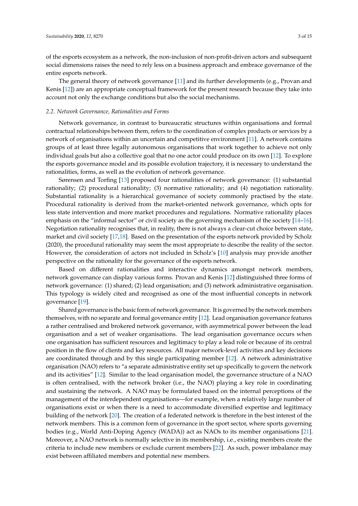of the esports ecosystem as a network, the non-inclusion of non-profit-driven actors and subsequent social dimensions raises the need to rely less on a business approach and embrace governance of the entire esports network.

The general theory of network governance [\[11\]](#page-14-9) and its further developments (e.g., Provan and Kenis [\[12\]](#page-14-10)) are an appropriate conceptual framework for the present research because they take into account not only the exchange conditions but also the social mechanisms.

#### *2.2. Network Governance, Rationalities and Forms*

Network governance, in contrast to bureaucratic structures within organisations and formal contractual relationships between them, refers to the coordination of complex products or services by a network of organisations within an uncertain and competitive environment [\[11\]](#page-14-9). A network contains groups of at least three legally autonomous organisations that work together to achieve not only individual goals but also a collective goal that no one actor could produce on its own [\[12\]](#page-14-10). To explore the esports governance model and its possible evolution trajectory, it is necessary to understand the rationalities, forms, as well as the evolution of network governance.

Sørensen and Torfing [\[13\]](#page-14-11) proposed four rationalities of network governance: (1) substantial rationality; (2) procedural rationality; (3) normative rationality; and (4) negotiation rationality. Substantial rationality is a hierarchical governance of society commonly practised by the state. Procedural rationality is derived from the market-oriented network governance, which opts for less state intervention and more market procedures and regulations. Normative rationality places emphasis on the "informal sector" or civil society as the governing mechanism of the society [\[14–](#page-14-12)[16\]](#page-14-13). Negotiation rationality recognises that, in reality, there is not always a clear-cut choice between state, market and civil society [\[17](#page-14-14)[,18\]](#page-14-15). Based on the presentation of the esports network provided by Scholz (2020), the procedural rationality may seem the most appropriate to describe the reality of the sector. However, the consideration of actors not included in Scholz's [\[10\]](#page-14-8) analysis may provide another perspective on the rationality for the governance of the esports network.

Based on different rationalities and interactive dynamics amongst network members, network governance can display various forms. Provan and Kenis [\[12\]](#page-14-10) distinguished three forms of network governance: (1) shared; (2) lead organisation; and (3) network administrative organisation. This typology is widely cited and recognised as one of the most influential concepts in network governance [\[19\]](#page-14-16).

Shared governance is the basic form of network governance. It is governed by the network members themselves, with no separate and formal governance entity [\[12\]](#page-14-10). Lead organisation governance features a rather centralised and brokered network governance, with asymmetrical power between the lead organisation and a set of weaker organisations. The lead organisation governance occurs when one organisation has sufficient resources and legitimacy to play a lead role or because of its central position in the flow of clients and key resources. All major network-level activities and key decisions are coordinated through and by this single participating member [\[12\]](#page-14-10). A network administrative organisation (NAO) refers to "a separate administrative entity set up specifically to govern the network and its activities" [\[12\]](#page-14-10). Similar to the lead organisation model, the governance structure of a NAO is often centralised, with the network broker (i.e., the NAO) playing a key role in coordinating and sustaining the network. A NAO may be formulated based on the internal perceptions of the management of the interdependent organisations—for example, when a relatively large number of organisations exist or when there is a need to accommodate diversified expertise and legitimacy building of the network [\[20\]](#page-14-17). The creation of a federated network is therefore in the best interest of the network members. This is a common form of governance in the sport sector, where sports governing bodies (e.g., World Anti-Doping Agency (WADA)) act as NAOs to its member organisations [\[21\]](#page-14-18). Moreover, a NAO network is normally selective in its membership, i.e., existing members create the criteria to include new members or exclude current members [\[22\]](#page-14-19). As such, power imbalance may exist between affiliated members and potential new members.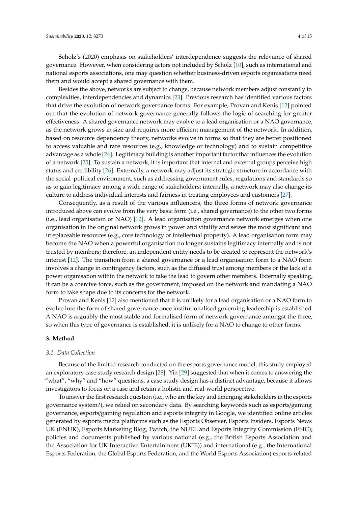Scholz's (2020) emphasis on stakeholders' interdependence suggests the relevance of shared governance. However, when considering actors not included by Scholz [\[10\]](#page-14-8), such as international and national esports associations, one may question whether business-driven esports organisations need them and would accept a shared governance with them.

Besides the above, networks are subject to change, because network members adjust constantly to complexities, interdependencies and dynamics [\[23\]](#page-14-20). Previous research has identified various factors that drive the evolution of network governance forms. For example, Provan and Kenis [\[12\]](#page-14-10) pointed out that the evolution of network governance generally follows the logic of searching for greater effectiveness. A shared governance network may evolve to a lead organisation or a NAO governance, as the network grows in size and requires more efficient management of the network. In addition, based on resource dependency theory, networks evolve in forms so that they are better positioned to access valuable and rare resources (e.g., knowledge or technology) and to sustain competitive advantage as a whole [\[24\]](#page-14-21). Legitimacy building is another important factor that influences the evolution of a network [\[25\]](#page-14-22). To sustain a network, it is important that internal and external groups perceive high status and credibility [\[26\]](#page-14-23). Externally, a network may adjust its strategic structure in accordance with the social–political environment, such as addressing government rules, regulations and standards so as to gain legitimacy among a wide range of stakeholders; internally, a network may also change its culture to address individual interests and fairness in treating employees and customers [\[27\]](#page-14-24).

Consequently, as a result of the various influencers, the three forms of network governance introduced above can evolve from the very basic form (i.e., shared governance) to the other two forms (i.e., lead organisation or NAO) [\[12\]](#page-14-10). A lead organisation governance network emerges when one organisation in the original network grows in power and vitality and seizes the most significant and irreplaceable resources (e.g., core technology or intellectual property). A lead organisation form may become the NAO when a powerful organisation no longer sustains legitimacy internally and is not trusted by members; therefore, an independent entity needs to be created to represent the network's interest [\[12\]](#page-14-10). The transition from a shared governance or a lead organisation form to a NAO form involves a change in contingency factors, such as the diffused trust among members or the lack of a power organisation within the network to take the lead to govern other members. Externally speaking, it can be a coercive force, such as the government, imposed on the network and mandating a NAO form to take shape due to its concerns for the network.

Provan and Kenis [\[12\]](#page-14-10) also mentioned that it is unlikely for a lead organisation or a NAO form to evolve into the form of shared governance once institutionalised governing leadership is established. A NAO is arguably the most stable and formalised form of network governance amongst the three, so when this type of governance is established, it is unlikely for a NAO to change to other forms.

### **3. Method**

#### *3.1. Data Collection*

Because of the limited research conducted on the esports governance model, this study employed an exploratory case study research design [\[28\]](#page-15-0). Yin [\[29\]](#page-15-1) suggested that when it comes to answering the "what", "why" and "how" questions, a case study design has a distinct advantage, because it allows investigators to focus on a case and retain a holistic and real-world perspective.

To answer the first research question (i.e., who are the key and emerging stakeholders in the esports governance system?), we relied on secondary data. By searching keywords such as esports/gaming governance, esports/gaming regulation and esports integrity in Google, we identified online articles generated by esports media platforms such as the Esports Observer, Esports Insiders, Esports News UK (ENUK), Esports Marketing Blog, Twitch, the NUEL and Esports Integrity Commission (ESIC); policies and documents published by various national (e.g., the British Esports Association and the Association for UK Interactive Entertainment (UKIE)) and international (e.g., the International Esports Federation, the Global Esports Federation, and the World Esports Association) esports-related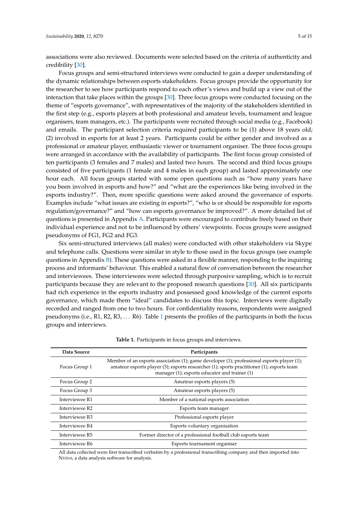associations were also reviewed. Documents were selected based on the criteria of authenticity and credibility [\[30\]](#page-15-2).

Focus groups and semi-structured interviews were conducted to gain a deeper understanding of the dynamic relationships between esports stakeholders. Focus groups provide the opportunity for the researcher to see how participants respond to each other's views and build up a view out of the interaction that take places within the groups [\[30\]](#page-15-2). Three focus groups were conducted focusing on the theme of "esports governance", with representatives of the majority of the stakeholders identified in the first step (e.g., esports players at both professional and amateur levels, tournament and league organisers, team managers, etc.). The participants were recruited through social media (e.g., Facebook) and emails. The participant selection criteria required participants to be (1) above 18 years old; (2) involved in esports for at least 2 years. Participants could be either gender and involved as a professional or amateur player, enthusiastic viewer or tournament organiser. The three focus groups were arranged in accordance with the availability of participants. The first focus group consisted of ten participants (3 females and 7 males) and lasted two hours. The second and third focus groups consisted of five participants (1 female and 4 males in each group) and lasted approximately one hour each. All focus groups started with some open questions such as "how many years have you been involved in esports and how?" and "what are the experiences like being involved in the esports industry?". Then, more specific questions were asked around the governance of esports. Examples include "what issues are existing in esports?", "who is or should be responsible for esports regulation/governance?" and "how can esports governance be improved?". A more detailed list of questions is presented in Appendix [A.](#page-13-0) Participants were encouraged to contribute freely based on their individual experience and not to be influenced by others' viewpoints. Focus groups were assigned pseudonyms of FG1, FG2 and FG3.

Six semi-structured interviews (all males) were conducted with other stakeholders via Skype and telephone calls. Questions were similar in style to those used in the focus groups (see example questions in Appendix [B\)](#page-13-1). These questions were asked in a flexible manner, responding to the inquiring process and informants' behaviour. This enabled a natural flow of conversation between the researcher and interviewees. These interviewees were selected through purposive sampling, which is to recruit participants because they are relevant to the proposed research questions [\[30\]](#page-15-2). All six participants had rich experience in the esports industry and possessed good knowledge of the current esports governance, which made them "ideal" candidates to discuss this topic. Interviews were digitally recorded and ranged from one to two hours. For confidentiality reasons, respondents were assigned pseudonyms (i.e., R1, R2, R3, . . . R6). Table [1](#page-5-0) presents the profiles of the participants in both the focus groups and interviews.

<span id="page-5-0"></span>

| Data Source    | Participants                                                                                                                                                                                                                             |  |  |
|----------------|------------------------------------------------------------------------------------------------------------------------------------------------------------------------------------------------------------------------------------------|--|--|
| Focus Group 1  | Member of an esports association (1); game developer (1); professional esports player (1);<br>amateur esports player (3); esports researcher (1); sports practitioner (1); esports team<br>manager (1); esports educator and trainer (1) |  |  |
| Focus Group 2  | Amateur esports players (5)                                                                                                                                                                                                              |  |  |
| Focus Group 3  | Amateur esports players (5)                                                                                                                                                                                                              |  |  |
| Interviewee R1 | Member of a national esports association                                                                                                                                                                                                 |  |  |
| Interviewee R2 | Esports team manager                                                                                                                                                                                                                     |  |  |
| Interviewee R3 | Professional esports player                                                                                                                                                                                                              |  |  |
| Interviewee R4 | Esports voluntary organisation                                                                                                                                                                                                           |  |  |
| Interviewee R5 | Former director of a professional football club esports team                                                                                                                                                                             |  |  |
| Interviewee R6 | Esports tournament organiser                                                                                                                                                                                                             |  |  |

**Table 1.** Participants in focus groups and interviews.

All data collected were first transcribed verbatim by a professional transcribing company and then imported into Nvivo, a data analysis software for analysis.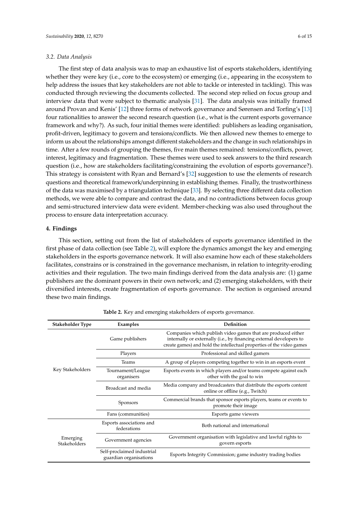The first step of data analysis was to map an exhaustive list of esports stakeholders, identifying whether they were key (i.e., core to the ecosystem) or emerging (i.e., appearing in the ecosystem to help address the issues that key stakeholders are not able to tackle or interested in tackling). This was conducted through reviewing the documents collected. The second step relied on focus group and interview data that were subject to thematic analysis [\[31\]](#page-15-3). The data analysis was initially framed around Provan and Kenis' [\[12\]](#page-14-10) three forms of network governance and Sørensen and Torfing's [\[13\]](#page-14-11) four rationalities to answer the second research question (i.e., what is the current esports governance framework and why?). As such, four initial themes were identified: publishers as leading organisation, profit-driven, legitimacy to govern and tensions/conflicts. We then allowed new themes to emerge to inform us about the relationships amongst different stakeholders and the change in such relationships in time. After a few rounds of grouping the themes, five main themes remained: tensions/conflicts, power, interest, legitimacy and fragmentation. These themes were used to seek answers to the third research question (i.e., how are stakeholders facilitating/constraining the evolution of esports governance?). This strategy is consistent with Ryan and Bernard's [\[32\]](#page-15-4) suggestion to use the elements of research questions and theoretical framework/underpinning in establishing themes. Finally, the trustworthiness of the data was maximised by a triangulation technique [\[33\]](#page-15-5). By selecting three different data collection methods, we were able to compare and contrast the data, and no contradictions between focus group and semi-structured interview data were evident. Member-checking was also used throughout the process to ensure data interpretation accuracy.

#### **4. Findings**

This section, setting out from the list of stakeholders of esports governance identified in the first phase of data collection (see Table [2\)](#page-6-0), will explore the dynamics amongst the key and emerging stakeholders in the esports governance network. It will also examine how each of these stakeholders facilitates, constrains or is constrained in the governance mechanism, in relation to integrity-eroding activities and their regulation. The two main findings derived from the data analysis are: (1) game publishers are the dominant powers in their own network; and (2) emerging stakeholders, with their diversified interests, create fragmentation of esports governance. The section is organised around these two main findings.

<span id="page-6-0"></span>

| <b>Stakeholder Type</b>  | Examples                                             | Definition                                                                                                                                                                                                   |
|--------------------------|------------------------------------------------------|--------------------------------------------------------------------------------------------------------------------------------------------------------------------------------------------------------------|
| Key Stakeholders         | Game publishers                                      | Companies which publish video games that are produced either<br>internally or externally (i.e., by financing external developers to<br>create games) and hold the intellectual properties of the video games |
|                          | Players                                              | Professional and skilled gamers                                                                                                                                                                              |
|                          | Teams                                                | A group of players competing together to win in an esports event                                                                                                                                             |
|                          | Tournament/League<br>organisers                      | Esports events in which players and/or teams compete against each<br>other with the goal to win                                                                                                              |
|                          | Broadcast and media                                  | Media company and broadcasters that distribute the esports content<br>online or offline (e.g., Twitch)                                                                                                       |
|                          | <b>Sponsors</b>                                      | Commercial brands that sponsor esports players, teams or events to<br>promote their image                                                                                                                    |
|                          | Fans (communities)                                   | Esports game viewers                                                                                                                                                                                         |
| Emerging<br>Stakeholders | Esports associations and<br>federations              | Both national and international                                                                                                                                                                              |
|                          | Government agencies                                  | Government organisation with legislative and lawful rights to<br>govern esports                                                                                                                              |
|                          | Self-proclaimed industrial<br>guardian organisations | Esports Integrity Commission; game industry trading bodies                                                                                                                                                   |

**Table 2.** Key and emerging stakeholders of esports governance.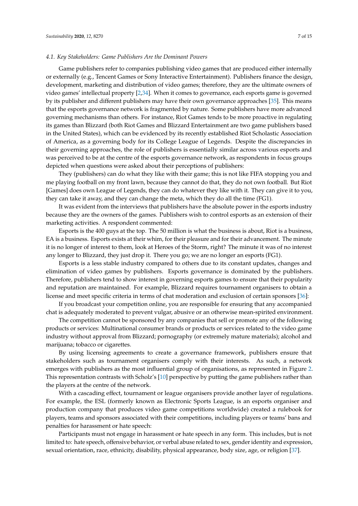#### *4.1. Key Stakeholders: Game Publishers Are the Dominant Powers*

Game publishers refer to companies publishing video games that are produced either internally or externally (e.g., Tencent Games or Sony Interactive Entertainment). Publishers finance the design, development, marketing and distribution of video games; therefore, they are the ultimate owners of video games' intellectual property [\[2,](#page-14-1)[34\]](#page-15-6). When it comes to governance, each esports game is governed by its publisher and different publishers may have their own governance approaches [\[35\]](#page-15-7). This means that the esports governance network is fragmented by nature. Some publishers have more advanced governing mechanisms than others. For instance, Riot Games tends to be more proactive in regulating its games than Blizzard (both Riot Games and Blizzard Entertainment are two game publishers based in the United States), which can be evidenced by its recently established Riot Scholastic Association of America, as a governing body for its College League of Legends. Despite the discrepancies in their governing approaches, the role of publishers is essentially similar across various esports and was perceived to be at the centre of the esports governance network, as respondents in focus groups depicted when questions were asked about their perceptions of publishers:

They (publishers) can do what they like with their game; this is not like FIFA stopping you and me playing football on my front lawn, because they cannot do that, they do not own football. But Riot [Games] does own League of Legends, they can do whatever they like with it. They can give it to you, they can take it away, and they can change the meta, which they do all the time (FG1).

It was evident from the interviews that publishers have the absolute power in the esports industry because they are the owners of the games. Publishers wish to control esports as an extension of their marketing activities. A respondent commented:

Esports is the 400 guys at the top. The 50 million is what the business is about, Riot is a business, EA is a business. Esports exists at their whim, for their pleasure and for their advancement. The minute it is no longer of interest to them, look at Heroes of the Storm, right? The minute it was of no interest any longer to Blizzard, they just drop it. There you go; we are no longer an esports (FG1).

Esports is a less stable industry compared to others due to its constant updates, changes and elimination of video games by publishers. Esports governance is dominated by the publishers. Therefore, publishers tend to show interest in governing esports games to ensure that their popularity and reputation are maintained. For example, Blizzard requires tournament organisers to obtain a license and meet specific criteria in terms of chat moderation and exclusion of certain sponsors [\[36\]](#page-15-8):

If you broadcast your competition online, you are responsible for ensuring that any accompanied chat is adequately moderated to prevent vulgar, abusive or an otherwise mean-spirited environment.

The competition cannot be sponsored by any companies that sell or promote any of the following products or services: Multinational consumer brands or products or services related to the video game industry without approval from Blizzard; pornography (or extremely mature materials); alcohol and marijuana; tobacco or cigarettes.

By using licensing agreements to create a governance framework, publishers ensure that stakeholders such as tournament organisers comply with their interests. As such, a network emerges with publishers as the most influential group of organisations, as represented in Figure [2.](#page-8-0) This representation contrasts with Scholz's [\[10\]](#page-14-8) perspective by putting the game publishers rather than the players at the centre of the network.

With a cascading effect, tournament or league organisers provide another layer of regulations. For example, the ESL (formerly known as Electronic Sports League, is an esports organiser and production company that produces video game competitions worldwide) created a rulebook for players, teams and sponsors associated with their competitions, including players or teams' bans and penalties for harassment or hate speech:

Participants must not engage in harassment or hate speech in any form. This includes, but is not limited to: hate speech, offensive behavior, or verbal abuse related to sex, gender identity and expression, sexual orientation, race, ethnicity, disability, physical appearance, body size, age, or religion [\[37\]](#page-15-9).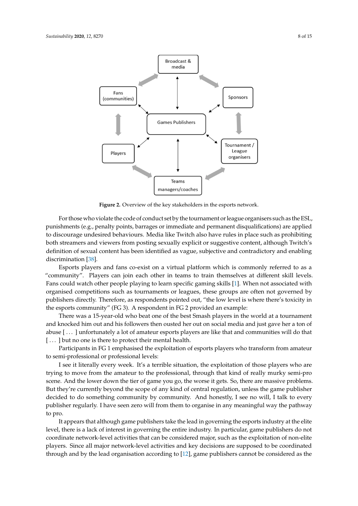<span id="page-8-0"></span>

**Figure 2.** Overview of the key stakeholders in the esports network*.*  **Figure 2.** Overview of the key stakeholders in the esports network.

punishments (e.g., penalty points, barrages or immediate and permanent disqualifications) are applied to discourage undesired behaviours. Media like Twitch also have rules in place such as prohibiting both streamers and viewers from posting sexually explicit or suggestive content, although Twitch's definition of sexual content has been identified as vague, subjective and contradictory and enabling discrimination [\[38\]](#page-15-10). For those who violate the code of conduct set by the tournament or league organisers such as the ESL,

Esports players and fans co-exist on a virtual platform which is commonly referred to as a "community". Players can join each other in teams to train themselves at different skill levels. Fans could watch other people playing to learn specific gaming skills [\[1\]](#page-14-0). When not associated with organised competitions such as tournaments or leagues, these groups are often not governed by publishers directly. Therefore, as respondents pointed out, "the low level is where there's toxicity in the esports community" (FG 3). A respondent in FG 2 provided an example:

There was a 15-year-old who beat one of the best Smash players in the world at a tournament and knocked him out and his followers then ousted her out on social media and just gave her a ton of abuse [...] unfortunately a lot of amateur esports players are like that and communities will do that  $\left[ \ldots \right]$  but no one is there to protect their mental health.

Participants in FG 1 emphasised the exploitation of esports players who transform from amateur to semi-professional or professional levels:

I see it literally every week. It's a terrible situation, the exploitation of those players who are trying to move from the amateur to the professional, through that kind of really murky semi-pro scene. And the lower down the tier of game you go, the worse it gets. So, there are massive problems. But they're currently beyond the scope of any kind of central regulation, unless the game publisher decided to do something community by community. And honestly, I see no will, I talk to every publisher regularly. I have seen zero will from them to organise in any meaningful way the pathway  $\begin{bmatrix} 1 & 0 & 0 \ 0 & 0 & 0 \end{bmatrix}$ to pro.

It appears that although game publishers take the lead in governing the esports industry at the elite level, there is a lack of interest in governing the entire industry. In particular, game publishers do not coordinate network-level activities that can be considered major, such as the exploitation of non-elite players. Since all major network-level activities and key decisions are supposed to be coordinated through and by the lead organisation according to [\[12\]](#page-14-10), game publishers cannot be considered as the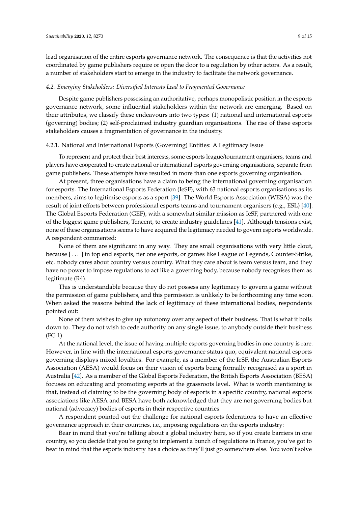lead organisation of the entire esports governance network. The consequence is that the activities not coordinated by game publishers require or open the door to a regulation by other actors. As a result, a number of stakeholders start to emerge in the industry to facilitate the network governance.

#### *4.2. Emerging Stakeholders: Diversified Interests Lead to Fragmented Governance*

Despite game publishers possessing an authoritative, perhaps monopolistic position in the esports governance network, some influential stakeholders within the network are emerging. Based on their attributes, we classify these endeavours into two types: (1) national and international esports (governing) bodies; (2) self-proclaimed industry guardian organisations. The rise of these esports stakeholders causes a fragmentation of governance in the industry.

### 4.2.1. National and International Esports (Governing) Entities: A Legitimacy Issue

To represent and protect their best interests, some esports league/tournament organisers, teams and players have cooperated to create national or international esports governing organisations, separate from game publishers. These attempts have resulted in more than one esports governing organisation.

At present, three organisations have a claim to being the international governing organisation for esports. The International Esports Federation (IeSF), with 63 national esports organisations as its members, aims to legitimise esports as a sport [\[39\]](#page-15-11). The World Esports Association (WESA) was the result of joint efforts between professional esports teams and tournament organisers (e.g., ESL) [\[40\]](#page-15-12). The Global Esports Federation (GEF), with a somewhat similar mission as IeSF, partnered with one of the biggest game publishers, Tencent, to create industry guidelines [\[41\]](#page-15-13). Although tensions exist, none of these organisations seems to have acquired the legitimacy needed to govern esports worldwide. A respondent commented:

None of them are significant in any way. They are small organisations with very little clout, because [ . . . ] in top end esports, tier one esports, or games like League of Legends, Counter-Strike, etc. nobody cares about country versus country. What they care about is team versus team, and they have no power to impose regulations to act like a governing body, because nobody recognises them as legitimate (R4).

This is understandable because they do not possess any legitimacy to govern a game without the permission of game publishers, and this permission is unlikely to be forthcoming any time soon. When asked the reasons behind the lack of legitimacy of these international bodies, respondents pointed out:

None of them wishes to give up autonomy over any aspect of their business. That is what it boils down to. They do not wish to cede authority on any single issue, to anybody outside their business (FG 1).

At the national level, the issue of having multiple esports governing bodies in one country is rare. However, in line with the international esports governance status quo, equivalent national esports governing displays mixed loyalties. For example, as a member of the IeSF, the Australian Esports Association (AESA) would focus on their vision of esports being formally recognised as a sport in Australia [\[42\]](#page-15-14). As a member of the Global Esports Federation, the British Esports Association (BESA) focuses on educating and promoting esports at the grassroots level. What is worth mentioning is that, instead of claiming to be the governing body of esports in a specific country, national esports associations like AESA and BESA have both acknowledged that they are not governing bodies but national (advocacy) bodies of esports in their respective countries.

A respondent pointed out the challenge for national esports federations to have an effective governance approach in their countries, i.e., imposing regulations on the esports industry:

Bear in mind that you're talking about a global industry here, so if you create barriers in one country, so you decide that you're going to implement a bunch of regulations in France, you've got to bear in mind that the esports industry has a choice as they'll just go somewhere else. You won't solve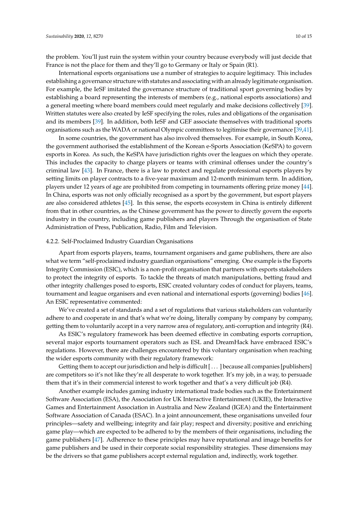the problem. You'll just ruin the system within your country because everybody will just decide that France is not the place for them and they'll go to Germany or Italy or Spain (R1).

International esports organisations use a number of strategies to acquire legitimacy. This includes establishing a governance structure with statutes and associating with an already legitimate organisation. For example, the IeSF imitated the governance structure of traditional sport governing bodies by establishing a board representing the interests of members (e.g., national esports associations) and a general meeting where board members could meet regularly and make decisions collectively [\[39\]](#page-15-11). Written statutes were also created by IeSF specifying the roles, rules and obligations of the organisation and its members [\[39\]](#page-15-11). In addition, both IeSF and GEF associate themselves with traditional sports organisations such as the WADA or national Olympic committees to legitimise their governance [\[39](#page-15-11)[,41\]](#page-15-13).

In some countries, the government has also involved themselves. For example, in South Korea, the government authorised the establishment of the Korean e-Sports Association (KeSPA) to govern esports in Korea. As such, the KeSPA have jurisdiction rights over the leagues on which they operate. This includes the capacity to charge players or teams with criminal offenses under the country's criminal law [\[43\]](#page-15-15). In France, there is a law to protect and regulate professional esports players by setting limits on player contracts to a five-year maximum and 12-month minimum term. In addition, players under 12 years of age are prohibited from competing in tournaments offering prize money [\[44\]](#page-15-16). In China, esports was not only officially recognised as a sport by the government, but esport players are also considered athletes [\[45\]](#page-15-17). In this sense, the esports ecosystem in China is entirely different from that in other countries, as the Chinese government has the power to directly govern the esports industry in the country, including game publishers and players Through the organisation of State Administration of Press, Publication, Radio, Film and Television.

#### 4.2.2. Self-Proclaimed Industry Guardian Organisations

Apart from esports players, teams, tournament organisers and game publishers, there are also what we term "self-proclaimed industry guardian organisations" emerging. One example is the Esports Integrity Commission (ESIC), which is a non-profit organisation that partners with esports stakeholders to protect the integrity of esports. To tackle the threats of match manipulations, betting fraud and other integrity challenges posed to esports, ESIC created voluntary codes of conduct for players, teams, tournament and league organisers and even national and international esports (governing) bodies [\[46\]](#page-15-18). An ESIC representative commented:

We've created a set of standards and a set of regulations that various stakeholders can voluntarily adhere to and cooperate in and that's what we're doing, literally company by company by company, getting them to voluntarily accept in a very narrow area of regulatory, anti-corruption and integrity (R4).

As ESIC's regulatory framework has been deemed effective in combating esports corruption, several major esports tournament operators such as ESL and DreamHack have embraced ESIC's regulations. However, there are challenges encountered by this voluntary organisation when reaching the wider esports community with their regulatory framework:

Getting them to accept our jurisdiction and help is difficult [...] because all companies [publishers] are competitors so it's not like they're all desperate to work together. It's my job, in a way, to persuade them that it's in their commercial interest to work together and that's a very difficult job (R4).

Another example includes gaming industry international trade bodies such as the Entertainment Software Association (ESA), the Association for UK Interactive Entertainment (UKIE), the Interactive Games and Entertainment Association in Australia and New Zealand (IGEA) and the Entertainment Software Association of Canada (ESAC). In a joint announcement, these organisations unveiled four principles—safety and wellbeing; integrity and fair play; respect and diversity; positive and enriching game play—which are expected to be adhered to by the members of their organisations, including the game publishers [\[47\]](#page-15-19). Adherence to these principles may have reputational and image benefits for game publishers and be used in their corporate social responsibility strategies. These dimensions may be the drivers so that game publishers accept external regulation and, indirectly, work together.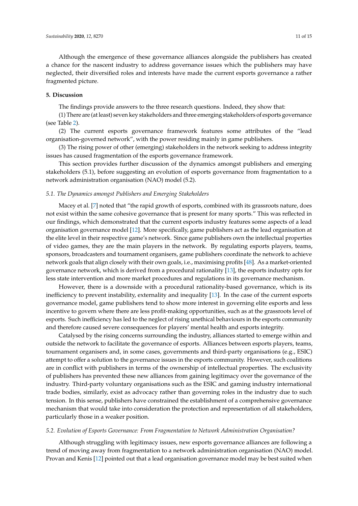Although the emergence of these governance alliances alongside the publishers has created a chance for the nascent industry to address governance issues which the publishers may have neglected, their diversified roles and interests have made the current esports governance a rather fragmented picture.

#### **5. Discussion**

The findings provide answers to the three research questions. Indeed, they show that:

(1) There are (at least) seven key stakeholders and three emerging stakeholders of esports governance (see Table [2\)](#page-6-0).

(2) The current esports governance framework features some attributes of the "lead organisation-governed network", with the power residing mainly in game publishers.

(3) The rising power of other (emerging) stakeholders in the network seeking to address integrity issues has caused fragmentation of the esports governance framework.

This section provides further discussion of the dynamics amongst publishers and emerging stakeholders (5.1), before suggesting an evolution of esports governance from fragmentation to a network administration organisation (NAO) model (5.2).

### *5.1. The Dynamics amongst Publishers and Emerging Stakeholders*

Macey et al. [\[7\]](#page-14-5) noted that "the rapid growth of esports, combined with its grassroots nature, does not exist within the same cohesive governance that is present for many sports." This was reflected in our findings, which demonstrated that the current esports industry features some aspects of a lead organisation governance model [\[12\]](#page-14-10). More specifically, game publishers act as the lead organisation at the elite level in their respective game's network. Since game publishers own the intellectual properties of video games, they are the main players in the network. By regulating esports players, teams, sponsors, broadcasters and tournament organisers, game publishers coordinate the network to achieve network goals that align closely with their own goals, i.e., maximising profits [\[48\]](#page-15-20). As a market-oriented governance network, which is derived from a procedural rationality [\[13\]](#page-14-11), the esports industry opts for less state intervention and more market procedures and regulations in its governance mechanism.

However, there is a downside with a procedural rationality-based governance, which is its inefficiency to prevent instability, externality and inequality [\[13\]](#page-14-11). In the case of the current esports governance model, game publishers tend to show more interest in governing elite esports and less incentive to govern where there are less profit-making opportunities, such as at the grassroots level of esports. Such inefficiency has led to the neglect of rising unethical behaviours in the esports community and therefore caused severe consequences for players' mental health and esports integrity.

Catalysed by the rising concerns surrounding the industry, alliances started to emerge within and outside the network to facilitate the governance of esports. Alliances between esports players, teams, tournament organisers and, in some cases, governments and third-party organisations (e.g., ESIC) attempt to offer a solution to the governance issues in the esports community. However, such coalitions are in conflict with publishers in terms of the ownership of intellectual properties. The exclusivity of publishers has prevented these new alliances from gaining legitimacy over the governance of the industry. Third-party voluntary organisations such as the ESIC and gaming industry international trade bodies, similarly, exist as advocacy rather than governing roles in the industry due to such tension. In this sense, publishers have constrained the establishment of a comprehensive governance mechanism that would take into consideration the protection and representation of all stakeholders, particularly those in a weaker position.

#### *5.2. Evolution of Esports Governance: From Fragmentation to Network Administration Organisation?*

Although struggling with legitimacy issues, new esports governance alliances are following a trend of moving away from fragmentation to a network administration organisation (NAO) model. Provan and Kenis [\[12\]](#page-14-10) pointed out that a lead organisation governance model may be best suited when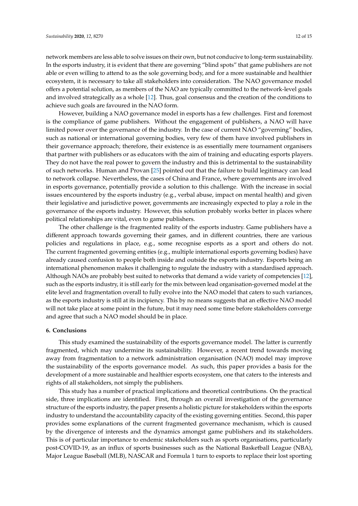network members are less able to solve issues on their own, but not conducive to long-term sustainability. In the esports industry, it is evident that there are governing "blind spots" that game publishers are not able or even willing to attend to as the sole governing body, and for a more sustainable and healthier ecosystem, it is necessary to take all stakeholders into consideration. The NAO governance model offers a potential solution, as members of the NAO are typically committed to the network-level goals and involved strategically as a whole [\[12\]](#page-14-10). Thus, goal consensus and the creation of the conditions to achieve such goals are favoured in the NAO form.

However, building a NAO governance model in esports has a few challenges. First and foremost is the compliance of game publishers. Without the engagement of publishers, a NAO will have limited power over the governance of the industry. In the case of current NAO "governing" bodies, such as national or international governing bodies, very few of them have involved publishers in their governance approach; therefore, their existence is as essentially mere tournament organisers that partner with publishers or as educators with the aim of training and educating esports players. They do not have the real power to govern the industry and this is detrimental to the sustainability of such networks. Human and Provan [\[25\]](#page-14-22) pointed out that the failure to build legitimacy can lead to network collapse. Nevertheless, the cases of China and France, where governments are involved in esports governance, potentially provide a solution to this challenge. With the increase in social issues encountered by the esports industry (e.g., verbal abuse, impact on mental health) and given their legislative and jurisdictive power, governments are increasingly expected to play a role in the governance of the esports industry. However, this solution probably works better in places where political relationships are vital, even to game publishers.

The other challenge is the fragmented reality of the esports industry. Game publishers have a different approach towards governing their games, and in different countries, there are various policies and regulations in place, e.g., some recognise esports as a sport and others do not. The current fragmented governing entities (e.g., multiple international esports governing bodies) have already caused confusion to people both inside and outside the esports industry. Esports being an international phenomenon makes it challenging to regulate the industry with a standardised approach. Although NAOs are probably best suited to networks that demand a wide variety of competencies [\[12\]](#page-14-10), such as the esports industry, it is still early for the mix between lead organisation-governed model at the elite level and fragmentation overall to fully evolve into the NAO model that caters to such variances, as the esports industry is still at its incipiency. This by no means suggests that an effective NAO model will not take place at some point in the future, but it may need some time before stakeholders converge and agree that such a NAO model should be in place.

#### **6. Conclusions**

This study examined the sustainability of the esports governance model. The latter is currently fragmented, which may undermine its sustainability. However, a recent trend towards moving away from fragmentation to a network administration organisation (NAO) model may improve the sustainability of the esports governance model. As such, this paper provides a basis for the development of a more sustainable and healthier esports ecosystem, one that caters to the interests and rights of all stakeholders, not simply the publishers.

This study has a number of practical implications and theoretical contributions. On the practical side, three implications are identified. First, through an overall investigation of the governance structure of the esports industry, the paper presents a holistic picture for stakeholders within the esports industry to understand the accountability capacity of the existing governing entities. Second, this paper provides some explanations of the current fragmented governance mechanism, which is caused by the divergence of interests and the dynamics amongst game publishers and its stakeholders. This is of particular importance to endemic stakeholders such as sports organisations, particularly post-COVID-19, as an influx of sports businesses such as the National Basketball League (NBA), Major League Baseball (MLB), NASCAR and Formula 1 turn to esports to replace their lost sporting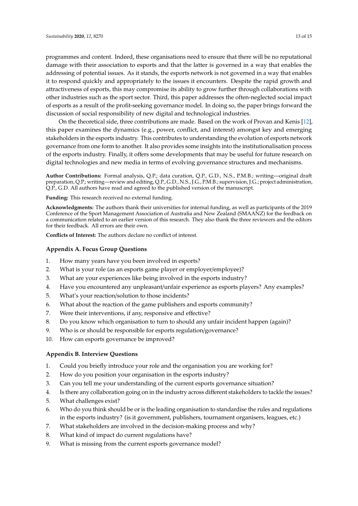programmes and content. Indeed, these organisations need to ensure that there will be no reputational damage with their association to esports and that the latter is governed in a way that enables the addressing of potential issues. As it stands, the esports network is not governed in a way that enables it to respond quickly and appropriately to the issues it encounters. Despite the rapid growth and attractiveness of esports, this may compromise its ability to grow further through collaborations with other industries such as the sport sector. Third, this paper addresses the often-neglected social impact of esports as a result of the profit-seeking governance model. In doing so, the paper brings forward the discussion of social responsibility of new digital and technological industries.

On the theoretical side, three contributions are made. Based on the work of Provan and Kenis [\[12\]](#page-14-10), this paper examines the dynamics (e.g., power, conflict, and interest) amongst key and emerging stakeholders in the esports industry. This contributes to understanding the evolution of esports network governance from one form to another. It also provides some insights into the institutionalisation process of the esports industry. Finally, it offers some developments that may be useful for future research on digital technologies and new media in terms of evolving governance structures and mechanisms.

**Author Contributions:** Formal analysis, Q.P.; data curation, Q.P., G.D., N.S., P.M.B.; writing—original draft preparation, Q.P.; writing—review and editing, Q.P., G.D., N.S., J.G., P.M.B.; supervision, J.G.; project administration, Q.P., G.D. All authors have read and agreed to the published version of the manuscript.

**Funding:** This research received no external funding.

**Acknowledgments:** The authors thank their universities for internal funding, as well as participants of the 2019 Conference of the Sport Management Association of Australia and New Zealand (SMAANZ) for the feedback on a communication related to an earlier version of this research. They also thank the three reviewers and the editors for their feedback. All errors are their own.

**Conflicts of Interest:** The authors declare no conflict of interest.

#### <span id="page-13-0"></span>**Appendix A. Focus Group Questions**

- 1. How many years have you been involved in esports?
- 2. What is your role (as an esports game player or employer/employee)?
- 3. What are your experiences like being involved in the esports industry?
- 4. Have you encountered any unpleasant/unfair experience as esports players? Any examples?
- 5. What's your reaction/solution to those incidents?
- 6. What about the reaction of the game publishers and esports community?
- 7. Were their interventions, if any, responsive and effective?
- 8. Do you know which organisation to turn to should any unfair incident happen (again)?
- 9. Who is or should be responsible for esports regulation/governance?
- 10. How can esports governance be improved?

#### <span id="page-13-1"></span>**Appendix B. Interview Questions**

- 1. Could you briefly introduce your role and the organisation you are working for?
- 2. How do you position your organisation in the esports industry?
- 3. Can you tell me your understanding of the current esports governance situation?
- 4. Is there any collaboration going on in the industry across different stakeholders to tackle the issues?
- 5. What challenges exist?
- 6. Who do you think should be or is the leading organisation to standardise the rules and regulations in the esports industry? (is it government, publishers, tournament organisers, leagues, etc.)
- 7. What stakeholders are involved in the decision-making process and why?
- 8. What kind of impact do current regulations have?
- 9. What is missing from the current esports governance model?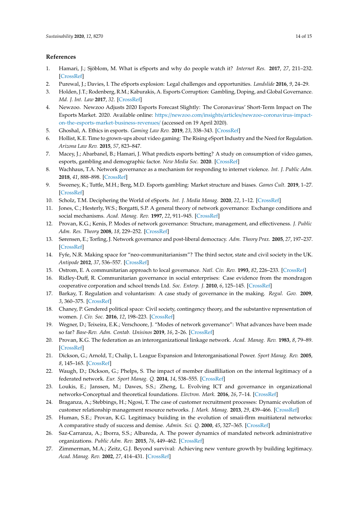## **References**

- <span id="page-14-0"></span>1. Hamari, J.; Sjöblom, M. What is eSports and why do people watch it? *Internet Res.* **2017**, *27*, 211–232. [\[CrossRef\]](http://dx.doi.org/10.1108/IntR-04-2016-0085)
- <span id="page-14-1"></span>2. Purewal, J.; Davies, I. The eSports explosion: Legal challenges and opportunities. *Landslide* **2016**, *9*, 24–29.
- <span id="page-14-2"></span>3. Holden, J.T.; Rodenberg, R.M.; Kaburakis, A. Esports Corruption: Gambling, Doping, and Global Governance. *Md. J. Int. Law* **2017**, *32*. [\[CrossRef\]](http://dx.doi.org/10.2139/ssrn.2831718)
- <span id="page-14-3"></span>4. Newzoo. Newzoo Adjusts 2020 Esports Forecast Slightly: The Coronavirus' Short-Term Impact on The Esports Market. 2020. Available online: https://newzoo.com/insights/articles/[newzoo-coronavirus-impact](https://newzoo.com/insights/articles/newzoo-coronavirus-impact-on-the-esports-market-business-revenues/)[on-the-esports-market-business-revenues](https://newzoo.com/insights/articles/newzoo-coronavirus-impact-on-the-esports-market-business-revenues/)/ (accessed on 19 April 2020).
- <span id="page-14-4"></span>5. Ghoshal, A. Ethics in esports. *Gaming Law Rev.* **2019**, *23*, 338–343. [\[CrossRef\]](http://dx.doi.org/10.1089/glr2.2019.2357)
- 6. Hollist, K.E. Time to grown-ups about video gaming: The Rising eSport Industry and the Need for Regulation. *Arizona Law Rev.* **2015**, *57*, 823–847.
- <span id="page-14-5"></span>7. Macey, J.; Abarbanel, B.; Hamari, J. What predicts esports betting? A study on consumption of video games, esports, gambling and demographic factor. *New Media Soc.* **2020**. [\[CrossRef\]](http://dx.doi.org/10.1177/1461444820908510)
- <span id="page-14-6"></span>8. Wachhaus, T.A. Network governance as a mechanism for responding to internet violence. *Int. J. Public Adm.* **2018**, *41*, 888–898. [\[CrossRef\]](http://dx.doi.org/10.1080/01900692.2017.1300914)
- <span id="page-14-7"></span>9. Sweeney, K.; Tuttle, M.H.; Berg, M.D. Esports gambling: Market structure and biases. *Games Cult.* **2019**, 1–27. [\[CrossRef\]](http://dx.doi.org/10.1177/1555412019872389)
- <span id="page-14-8"></span>10. Scholz, T.M. Deciphering the World of eSports. *Int. J. Media Manag.* **2020**, *22*, 1–12. [\[CrossRef\]](http://dx.doi.org/10.1080/14241277.2020.1757808)
- <span id="page-14-9"></span>11. Jones, C.; Hesterly, W.S.; Borgatti, S.P. A general theory of network governance: Exchange conditions and social mechanisms. *Acad. Manag. Rev.* **1997**, *22*, 911–945. [\[CrossRef\]](http://dx.doi.org/10.5465/amr.1997.9711022109)
- <span id="page-14-10"></span>12. Provan, K.G.; Kenis, P. Modes of network governance: Structure, management, and effectiveness. *J. Public Adm. Res. Theory* **2008**, *18*, 229–252. [\[CrossRef\]](http://dx.doi.org/10.1093/jopart/mum015)
- <span id="page-14-11"></span>13. Sørensen, E.; Torfing, J. Network governance and post-liberal democracy. *Adm. Theory Prax.* **2005**, *27*, 197–237. [\[CrossRef\]](http://dx.doi.org/10.1080/10841806.2005.11029489)
- <span id="page-14-12"></span>14. Fyfe, N.R. Making space for "neo-communitarianism"? The third sector, state and civil society in the UK. *Antipode* **2012**, *37*, 536–557. [\[CrossRef\]](http://dx.doi.org/10.1111/j.0066-4812.2005.00510.x)
- 15. Ostrom, E. A communitarian approach to local governance. *Natl. Civ. Rev.* **1993**, *82*, 226–233. [\[CrossRef\]](http://dx.doi.org/10.1002/ncr.4100820305)
- <span id="page-14-13"></span>16. Ridley-Duff, R. Communitarian governance in social enterprises: Case evidence from the mondragon cooperative corporation and school trends Ltd. *Soc. Enterp. J.* **2010**, *6*, 125–145. [\[CrossRef\]](http://dx.doi.org/10.1108/17508611011069266)
- <span id="page-14-14"></span>17. Barkay, T. Regulation and voluntarism: A case study of governance in the making. *Regul. Gov.* **2009**, *3*, 360–375. [\[CrossRef\]](http://dx.doi.org/10.1111/j.1748-5991.2009.01063.x)
- <span id="page-14-15"></span>18. Chaney, P. Gendered political space: Civil society, contingency theory, and the substantive representation of women. *J. Civ. Soc.* **2016**, *12*, 198–223. [\[CrossRef\]](http://dx.doi.org/10.1080/17448689.2016.1178964)
- <span id="page-14-16"></span>19. Wegner, D.; Teixeira, E.K.; Verschoore, J. "Modes of network governance": What advances have been made so far? *Base-Rev. Adm. Contab. Unisinos* **2019**, *16*, 2–26. [\[CrossRef\]](http://dx.doi.org/10.4013/base.2019.161.01)
- <span id="page-14-17"></span>20. Provan, K.G. The federation as an interorganizational linkage network. *Acad. Manag. Rev.* **1983**, *8*, 79–89. [\[CrossRef\]](http://dx.doi.org/10.5465/amr.1983.4287668)
- <span id="page-14-18"></span>21. Dickson, G.; Arnold, T.; Chalip, L. League Expansion and Interorganisational Power. *Sport Manag. Rev.* **2005**, *8*, 145–165. [\[CrossRef\]](http://dx.doi.org/10.1016/S1441-3523(05)70037-1)
- <span id="page-14-19"></span>22. Waugh, D.; Dickson, G.; Phelps, S. The impact of member disaffiliation on the internal legitimacy of a federated network. *Eur. Sport Manag. Q.* **2014**, *14*, 538–555. [\[CrossRef\]](http://dx.doi.org/10.1080/16184742.2014.950306)
- <span id="page-14-20"></span>23. Loukis, E.; Janssen, M.; Dawes, S.S.; Zheng, L. Evolving ICT and governance in organizational networks-Conceptual and theoretical foundations. *Electron. Mark.* **2016**, *26*, 7–14. [\[CrossRef\]](http://dx.doi.org/10.1007/s12525-015-0210-1)
- <span id="page-14-21"></span>24. Braganza, A.; Stebbings, H.; Ngosi, T. The case of customer recruitment processes: Dynamic evolution of customer relationship management resource networks. *J. Mark. Manag.* **2013**, *29*, 439–466. [\[CrossRef\]](http://dx.doi.org/10.1080/0267257X.2012.737818)
- <span id="page-14-22"></span>25. Human, S.E.; Provan, K.G. Legitimacy buiiding in the evolution of smaii-flrm muitiiateral networks: A comparative study of success and demise. *Admin. Sci. Q.* **2000**, *45*, 327–365. [\[CrossRef\]](http://dx.doi.org/10.2307/2667074)
- <span id="page-14-23"></span>26. Saz-Carranza, A.; Iborra, S.S.; Albareda, A. The power dynamics of mandated network administrative organizations. *Public Adm. Rev.* **2015**, *76*, 449–462. [\[CrossRef\]](http://dx.doi.org/10.1111/puar.12445)
- <span id="page-14-24"></span>27. Zimmerman, M.A.; Zeitz, G.J. Beyond survival: Achieving new venture growth by building legitimacy. *Acad. Manag. Rev.* **2002**, *27*, 414–431. [\[CrossRef\]](http://dx.doi.org/10.5465/amr.2002.7389921)